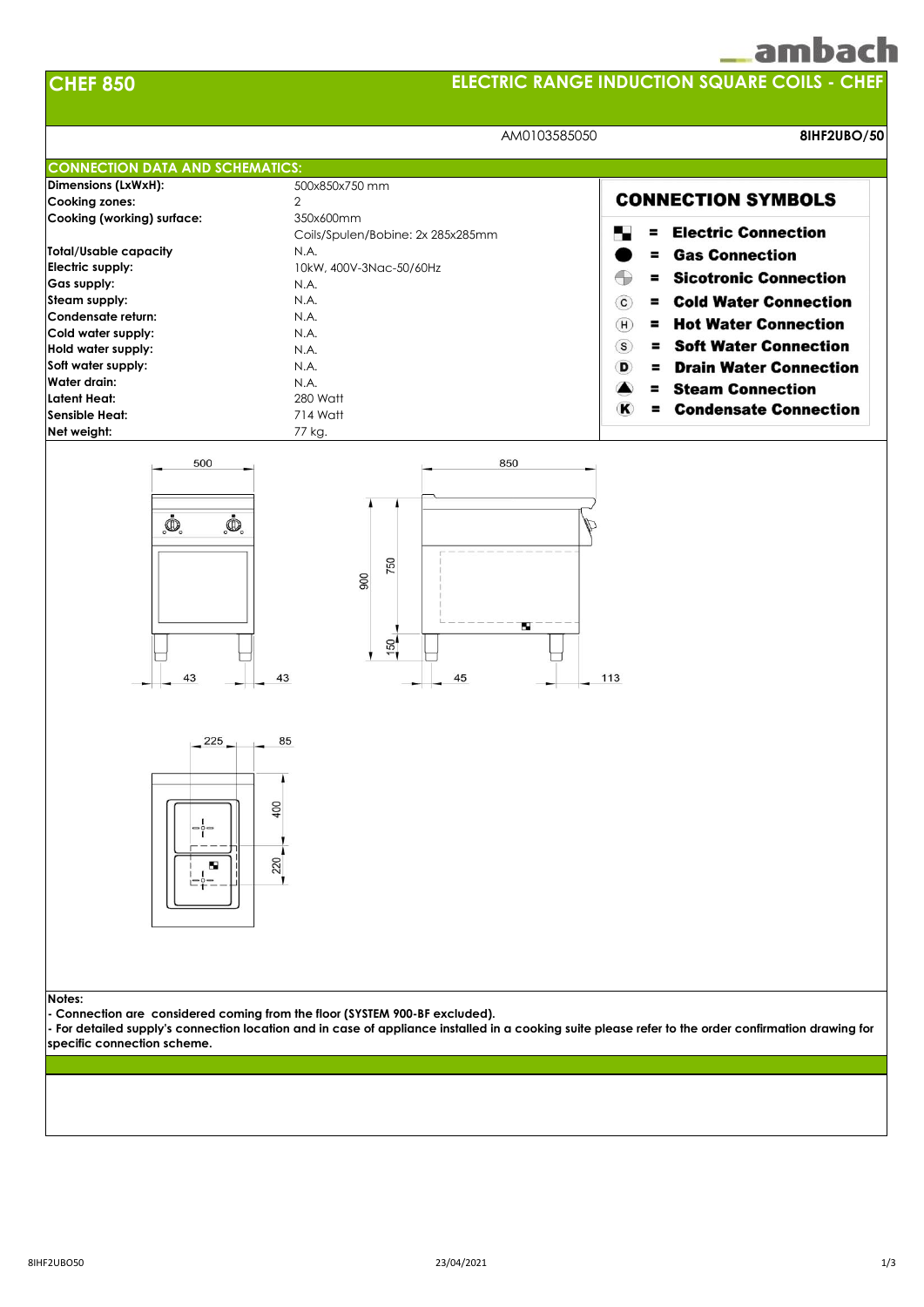## ambach



#### **Notes:**

**- Connection are considered coming from the floor (SYSTEM 900-BF excluded).**

**- For detailed supply's connection location and in case of appliance installed in a cooking suite please refer to the order confirmation drawing for specific connection scheme.**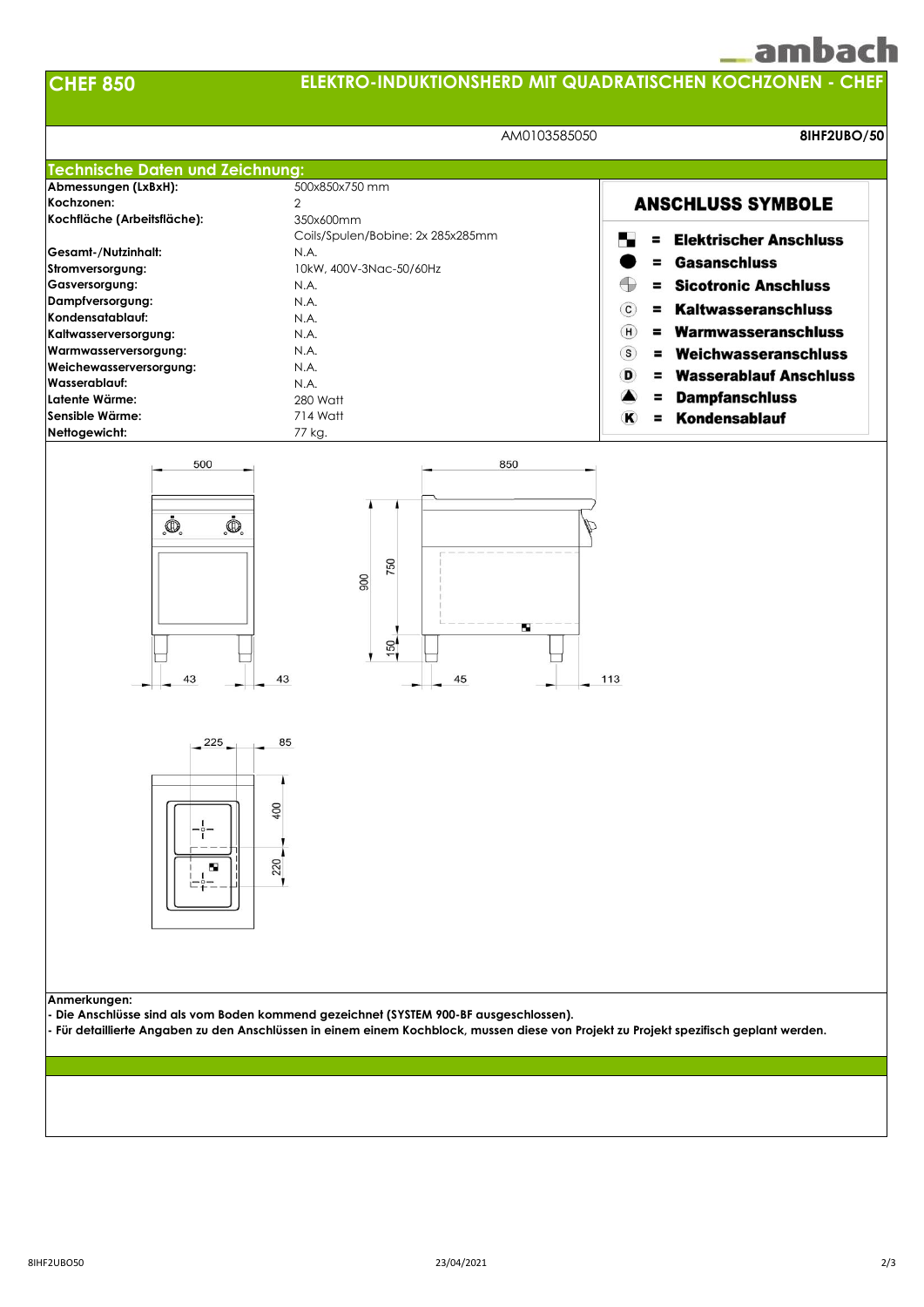# ambach

**CHEF 850**

### **ELEKTRO-INDUKTIONSHERD MIT QUADRATISCHEN KOCHZONEN - CHEF**

|                                             | AM0103585050<br>8IHF2UBO/50                                                                                                                                                                                                    |                                                   |
|---------------------------------------------|--------------------------------------------------------------------------------------------------------------------------------------------------------------------------------------------------------------------------------|---------------------------------------------------|
| <b>Technische Daten und Zeichnung:</b>      |                                                                                                                                                                                                                                |                                                   |
| Abmessungen (LxBxH):                        | 500x850x750 mm                                                                                                                                                                                                                 |                                                   |
| Kochzonen:                                  | $\overline{2}$                                                                                                                                                                                                                 | <b>ANSCHLUSS SYMBOLE</b>                          |
| Kochfläche (Arbeitsfläche):                 | 350x600mm                                                                                                                                                                                                                      |                                                   |
|                                             | Coils/Spulen/Bobine: 2x 285x285mm                                                                                                                                                                                              | <b>Elektrischer Anschluss</b><br>Ξ                |
| Gesamt-/Nutzinhalt:                         | N.A.                                                                                                                                                                                                                           | <b>Gasanschluss</b>                               |
| Stromversorgung:                            | 10kW, 400V-3Nac-50/60Hz                                                                                                                                                                                                        |                                                   |
| Gasversorgung:                              | N.A.                                                                                                                                                                                                                           | Œ<br><b>Sicotronic Anschluss</b><br>٠             |
| Dampfversorgung:                            | N.A.                                                                                                                                                                                                                           | <b>Kaltwasseranschluss</b><br>$\circ$<br>$\equiv$ |
| Kondensatablauf:                            | N.A.                                                                                                                                                                                                                           |                                                   |
| Kaltwasserversorgung:                       | N.A.                                                                                                                                                                                                                           | = Warmwasseranschluss<br>(H)                      |
| Warmwasserversorgung:                       | N.A.                                                                                                                                                                                                                           | $\left($ S<br>Weichwasseranschluss<br>Ξ.          |
| Weichewasserversorgung:                     | N.A.                                                                                                                                                                                                                           | <b>Wasserablauf Anschluss</b><br>D<br>Ξ.          |
| Wasserablauf:                               | N.A.                                                                                                                                                                                                                           |                                                   |
| Latente Wärme:                              | 280 Watt                                                                                                                                                                                                                       | <b>Dampfanschluss</b><br>Ξ                        |
| Sensible Wärme:                             | 714 Watt                                                                                                                                                                                                                       | Kondensablauf<br>$\bf K$<br>$\equiv$              |
| Nettogewicht:                               | 77 kg.                                                                                                                                                                                                                         |                                                   |
| $\mathbf{\Phi}$<br>$\bar{\mathbb{Q}}$<br>43 | 750<br>900<br>ш<br>150<br>43<br>45                                                                                                                                                                                             | 113                                               |
| 225<br>$\circ$ $-$<br>ш                     | 85<br>400<br>220                                                                                                                                                                                                               |                                                   |
| Anmerkungen:                                | Die Anschlüsse sind als vom Boden kommend gezeichnet (SYSTEM 900-BF ausgeschlossen).<br>- Für detaillierte Angaben zu den Anschlüssen in einem einem Kochblock, mussen diese von Projekt zu Projekt spezifisch geplant werden. |                                                   |